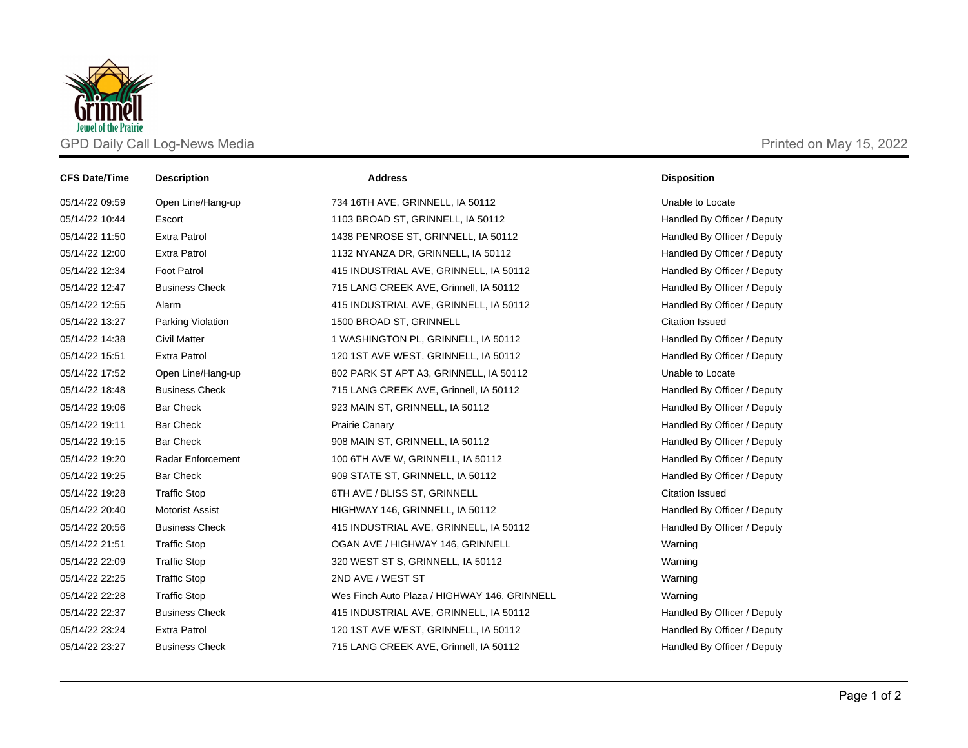

| <b>CFS Date/Time</b> | <b>Description</b>     | <b>Address</b>                               | <b>Disposition</b>          |
|----------------------|------------------------|----------------------------------------------|-----------------------------|
| 05/14/22 09:59       | Open Line/Hang-up      | 734 16TH AVE, GRINNELL, IA 50112             | Unable to Locate            |
| 05/14/22 10:44       | Escort                 | 1103 BROAD ST, GRINNELL, IA 50112            | Handled By Officer / Deputy |
| 05/14/22 11:50       | <b>Extra Patrol</b>    | 1438 PENROSE ST, GRINNELL, IA 50112          | Handled By Officer / Deputy |
| 05/14/22 12:00       | <b>Extra Patrol</b>    | 1132 NYANZA DR, GRINNELL, IA 50112           | Handled By Officer / Deputy |
| 05/14/22 12:34       | <b>Foot Patrol</b>     | 415 INDUSTRIAL AVE, GRINNELL, IA 50112       | Handled By Officer / Deputy |
| 05/14/22 12:47       | <b>Business Check</b>  | 715 LANG CREEK AVE, Grinnell, IA 50112       | Handled By Officer / Deputy |
| 05/14/22 12:55       | Alarm                  | 415 INDUSTRIAL AVE, GRINNELL, IA 50112       | Handled By Officer / Deputy |
| 05/14/22 13:27       | Parking Violation      | 1500 BROAD ST, GRINNELL                      | <b>Citation Issued</b>      |
| 05/14/22 14:38       | <b>Civil Matter</b>    | 1 WASHINGTON PL, GRINNELL, IA 50112          | Handled By Officer / Deputy |
| 05/14/22 15:51       | <b>Extra Patrol</b>    | 120 1ST AVE WEST, GRINNELL, IA 50112         | Handled By Officer / Deputy |
| 05/14/22 17:52       | Open Line/Hang-up      | 802 PARK ST APT A3, GRINNELL, IA 50112       | Unable to Locate            |
| 05/14/22 18:48       | <b>Business Check</b>  | 715 LANG CREEK AVE, Grinnell, IA 50112       | Handled By Officer / Deputy |
| 05/14/22 19:06       | <b>Bar Check</b>       | 923 MAIN ST, GRINNELL, IA 50112              | Handled By Officer / Deputy |
| 05/14/22 19:11       | <b>Bar Check</b>       | <b>Prairie Canary</b>                        | Handled By Officer / Deputy |
| 05/14/22 19:15       | <b>Bar Check</b>       | 908 MAIN ST, GRINNELL, IA 50112              | Handled By Officer / Deputy |
| 05/14/22 19:20       | Radar Enforcement      | 100 6TH AVE W, GRINNELL, IA 50112            | Handled By Officer / Deputy |
| 05/14/22 19:25       | <b>Bar Check</b>       | 909 STATE ST, GRINNELL, IA 50112             | Handled By Officer / Deputy |
| 05/14/22 19:28       | <b>Traffic Stop</b>    | 6TH AVE / BLISS ST, GRINNELL                 | <b>Citation Issued</b>      |
| 05/14/22 20:40       | <b>Motorist Assist</b> | HIGHWAY 146, GRINNELL, IA 50112              | Handled By Officer / Deputy |
| 05/14/22 20:56       | <b>Business Check</b>  | 415 INDUSTRIAL AVE, GRINNELL, IA 50112       | Handled By Officer / Deputy |
| 05/14/22 21:51       | <b>Traffic Stop</b>    | OGAN AVE / HIGHWAY 146, GRINNELL             | Warning                     |
| 05/14/22 22:09       | <b>Traffic Stop</b>    | 320 WEST ST S, GRINNELL, IA 50112            | Warning                     |
| 05/14/22 22:25       | <b>Traffic Stop</b>    | 2ND AVE / WEST ST                            | Warning                     |
| 05/14/22 22:28       | <b>Traffic Stop</b>    | Wes Finch Auto Plaza / HIGHWAY 146, GRINNELL | Warning                     |
| 05/14/22 22:37       | <b>Business Check</b>  | 415 INDUSTRIAL AVE, GRINNELL, IA 50112       | Handled By Officer / Deputy |
| 05/14/22 23:24       | <b>Extra Patrol</b>    | 120 1ST AVE WEST, GRINNELL, IA 50112         | Handled By Officer / Deputy |
| 05/14/22 23:27       | <b>Business Check</b>  | 715 LANG CREEK AVE, Grinnell, IA 50112       | Handled By Officer / Deputy |
|                      |                        |                                              |                             |